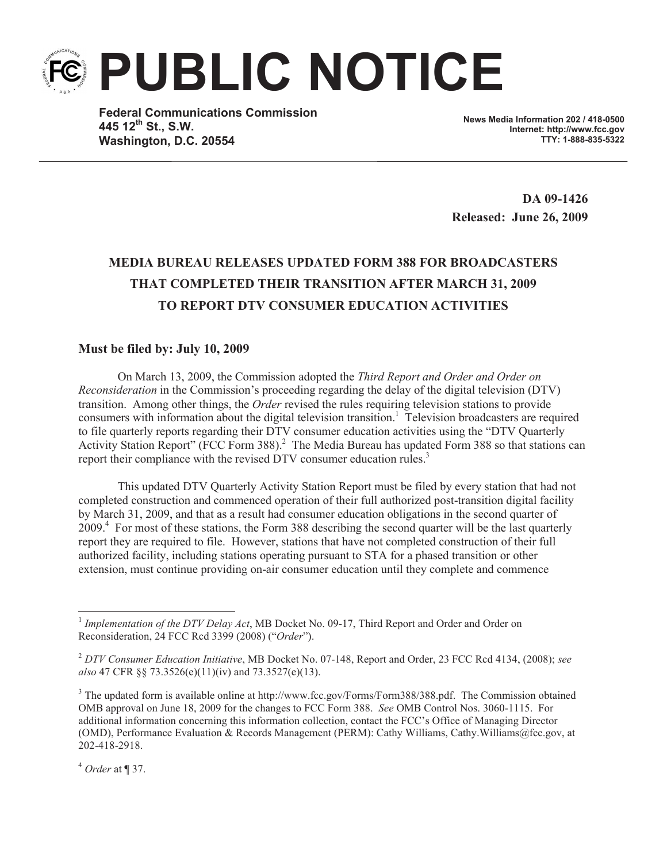**PUBLIC NOTICE**

**Federal Communications Commission 445 12th St., S.W. Washington, D.C. 20554**

**News Media Information 202 / 418-0500 Internet: http://www.fcc.gov TTY: 1-888-835-5322**

**DA 09-1426 Released: June 26, 2009**

## **MEDIA BUREAU RELEASES UPDATED FORM 388 FOR BROADCASTERS THAT COMPLETED THEIR TRANSITION AFTER MARCH 31, 2009 TO REPORT DTV CONSUMER EDUCATION ACTIVITIES**

## **Must be filed by: July 10, 2009**

On March 13, 2009, the Commission adopted the *Third Report and Order and Order on Reconsideration* in the Commission's proceeding regarding the delay of the digital television (DTV) transition. Among other things, the *Order* revised the rules requiring television stations to provide consumers with information about the digital television transition.<sup>1</sup> Television broadcasters are required to file quarterly reports regarding their DTV consumer education activities using the "DTV Quarterly Activity Station Report" (FCC Form 388).<sup>2</sup> The Media Bureau has updated Form 388 so that stations can report their compliance with the revised DTV consumer education rules.<sup>3</sup>

This updated DTV Quarterly Activity Station Report must be filed by every station that had not completed construction and commenced operation of their full authorized post-transition digital facility by March 31, 2009, and that as a result had consumer education obligations in the second quarter of 2009.<sup>4</sup> For most of these stations, the Form 388 describing the second quarter will be the last quarterly report they are required to file. However, stations that have not completed construction of their full authorized facility, including stations operating pursuant to STA for a phased transition or other extension, must continue providing on-air consumer education until they complete and commence

<sup>&</sup>lt;sup>1</sup> Implementation of the DTV Delay Act, MB Docket No. 09-17, Third Report and Order and Order on Reconsideration, 24 FCC Rcd 3399 (2008) ("*Order*").

<sup>2</sup> *DTV Consumer Education Initiative*, MB Docket No. 07-148, Report and Order, 23 FCC Rcd 4134, (2008); *see also* 47 CFR §§ 73.3526(e)(11)(iv) and 73.3527(e)(13).

<sup>&</sup>lt;sup>3</sup> The updated form is available online at http://www.fcc.gov/Forms/Form388/388.pdf. The Commission obtained OMB approval on June 18, 2009 for the changes to FCC Form 388. *See* OMB Control Nos. 3060-1115. For additional information concerning this information collection, contact the FCC's Office of Managing Director (OMD), Performance Evaluation & Records Management (PERM): Cathy Williams, Cathy.Williams@fcc.gov, at 202-418-2918.

<sup>4</sup> *Order* at ¶ 37.